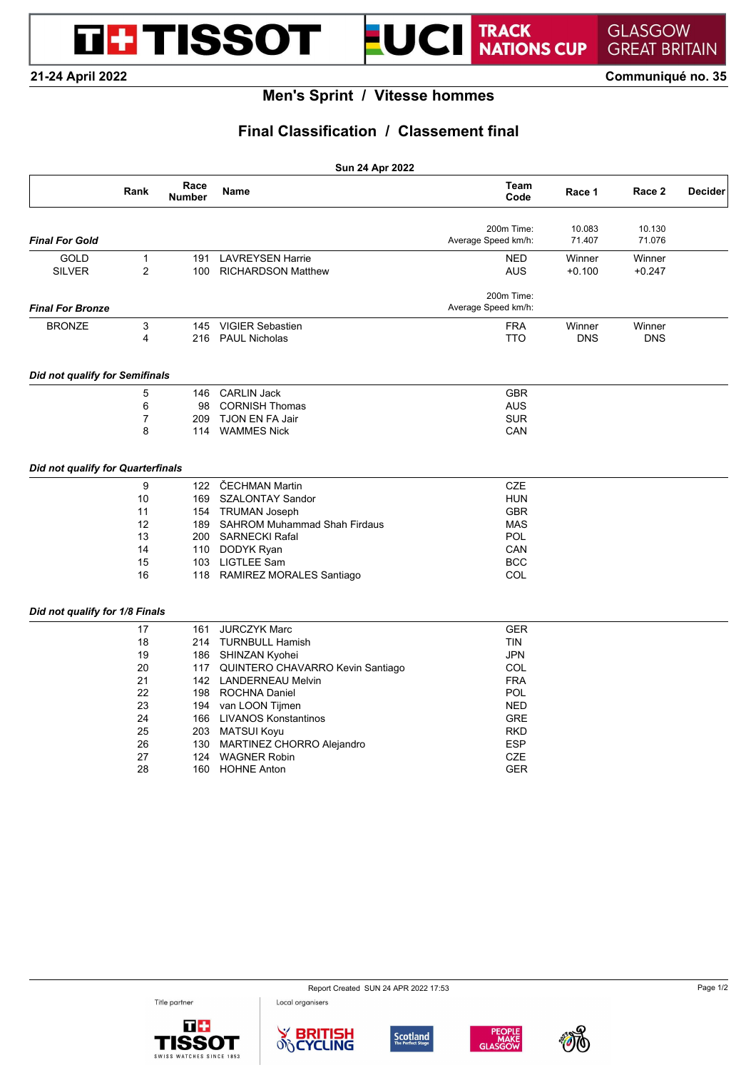TRACK<br>NATIONS CUP UCI

**21-24 April 2022 Communiqué no. 35**

**DE TISSOT** 

## **Men's Sprint / Vitesse hommes**

 $\blacksquare$ 

## **Final Classification / Classement final**

| Sun 24 Apr 2022                   |                     |                       |                                      |                                   |                    |                    |                |  |  |
|-----------------------------------|---------------------|-----------------------|--------------------------------------|-----------------------------------|--------------------|--------------------|----------------|--|--|
|                                   | Rank                | Race<br><b>Number</b> | <b>Name</b>                          | Team<br>Code                      | Race 1             | Race 2             | <b>Decider</b> |  |  |
| <b>Final For Gold</b>             |                     |                       |                                      | 200m Time:<br>Average Speed km/h: | 10.083<br>71.407   | 10.130<br>71.076   |                |  |  |
| GOLD                              |                     |                       | <b>LAVREYSEN Harrie</b>              |                                   |                    |                    |                |  |  |
| <b>SILVER</b>                     | 1<br>$\overline{2}$ | 191<br>100            | <b>RICHARDSON Matthew</b>            | NED<br><b>AUS</b>                 | Winner<br>$+0.100$ | Winner<br>$+0.247$ |                |  |  |
| <b>Final For Bronze</b>           |                     |                       |                                      | 200m Time:<br>Average Speed km/h: |                    |                    |                |  |  |
| <b>BRONZE</b>                     | 3                   | 145                   | <b>VIGIER Sebastien</b>              | <b>FRA</b>                        | Winner             | Winner             |                |  |  |
|                                   | 4                   | 216                   | <b>PAUL Nicholas</b>                 | <b>TTO</b>                        | <b>DNS</b>         | <b>DNS</b>         |                |  |  |
| Did not qualify for Semifinals    |                     |                       |                                      |                                   |                    |                    |                |  |  |
|                                   | 5                   | 146                   | <b>CARLIN Jack</b>                   | <b>GBR</b>                        |                    |                    |                |  |  |
|                                   | 6                   | 98                    | <b>CORNISH Thomas</b>                | <b>AUS</b>                        |                    |                    |                |  |  |
|                                   | 7                   | 209                   | <b>TJON EN FA Jair</b>               | <b>SUR</b>                        |                    |                    |                |  |  |
|                                   | 8                   | 114                   | <b>WAMMES Nick</b>                   | CAN                               |                    |                    |                |  |  |
| Did not qualify for Quarterfinals |                     |                       |                                      |                                   |                    |                    |                |  |  |
|                                   | 9                   | 122                   | ČECHMAN Martin                       | <b>CZE</b>                        |                    |                    |                |  |  |
|                                   | 10                  | 169                   | SZALONTAY Sandor                     | <b>HUN</b>                        |                    |                    |                |  |  |
|                                   | 11                  |                       | 154 TRUMAN Joseph                    | <b>GBR</b>                        |                    |                    |                |  |  |
|                                   | 12                  | 189                   | <b>SAHROM Muhammad Shah Firdaus</b>  | <b>MAS</b>                        |                    |                    |                |  |  |
|                                   | 13                  |                       | 200 SARNECKI Rafal                   | POL                               |                    |                    |                |  |  |
|                                   | 14                  |                       | 110 DODYK Ryan                       | CAN                               |                    |                    |                |  |  |
|                                   | 15                  | 103                   | <b>LIGTLEE Sam</b>                   | <b>BCC</b>                        |                    |                    |                |  |  |
|                                   | 16                  |                       | 118 RAMIREZ MORALES Santiago         | COL                               |                    |                    |                |  |  |
| Did not qualify for 1/8 Finals    |                     |                       |                                      |                                   |                    |                    |                |  |  |
|                                   | 17                  | 161                   | <b>JURCZYK Marc</b>                  | <b>GER</b>                        |                    |                    |                |  |  |
|                                   | 18                  |                       | 214 TURNBULL Hamish                  | <b>TIN</b>                        |                    |                    |                |  |  |
|                                   | 19                  | 186                   | SHINZAN Kyohei                       | <b>JPN</b>                        |                    |                    |                |  |  |
|                                   | 20                  |                       | 117 QUINTERO CHAVARRO Kevin Santiago | COL                               |                    |                    |                |  |  |
|                                   | 21                  |                       | 142 LANDERNEAU Melvin                | <b>FRA</b>                        |                    |                    |                |  |  |
|                                   | 22                  |                       | 198 ROCHNA Daniel                    | POL                               |                    |                    |                |  |  |
|                                   | 23                  |                       | 194 van LOON Tijmen                  | <b>NED</b>                        |                    |                    |                |  |  |
|                                   | 24                  | 166                   | <b>LIVANOS Konstantinos</b>          | <b>GRE</b>                        |                    |                    |                |  |  |
|                                   | 25                  |                       | 203 MATSUI Koyu                      | <b>RKD</b>                        |                    |                    |                |  |  |
|                                   | 26                  | 130                   | MARTINEZ CHORRO Alejandro            | <b>ESP</b>                        |                    |                    |                |  |  |
|                                   | 27                  | 124                   | <b>WAGNER Robin</b>                  | <b>CZE</b>                        |                    |                    |                |  |  |
|                                   | 28                  | 160                   | <b>HOHNE Anton</b>                   | <b>GER</b>                        |                    |                    |                |  |  |

Title partner





Local organisers